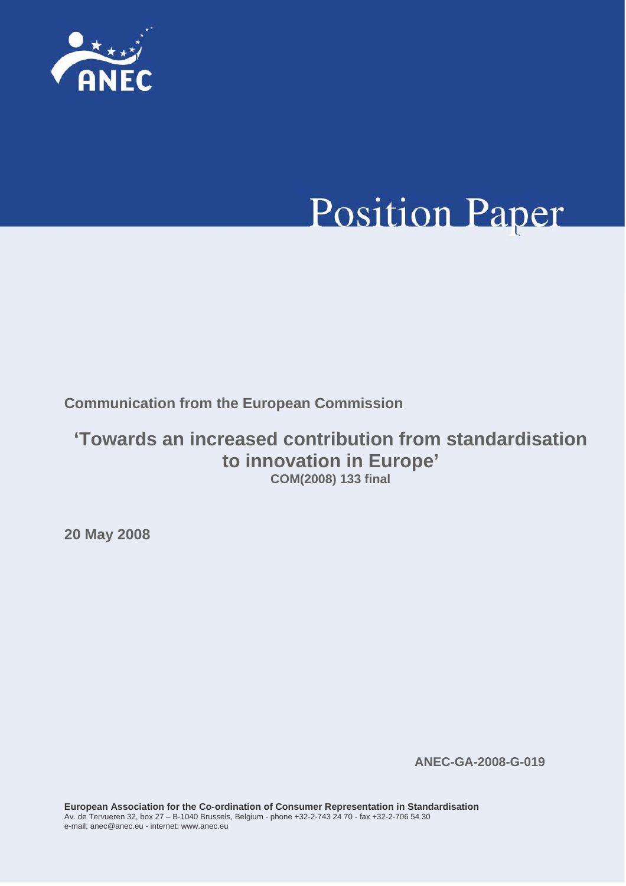

# **Position Paper**

**Communication from the European Commission** 

### **'Towards an increased contribution from standardisation to innovation in Europe' COM(2008) 133 final**

**20 May 2008** 

**ANEC-GA-2008-G-019**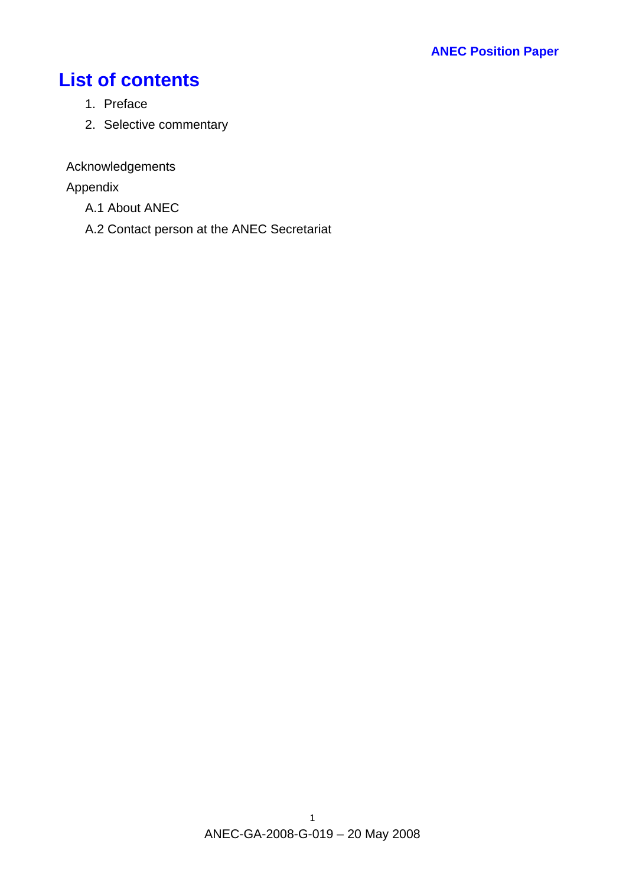## **List of contents**

- 1. Preface
- 2. Selective commentary

Acknowledgements

Appendix

- A.1 About ANEC
- A.2 Contact person at the ANEC Secretariat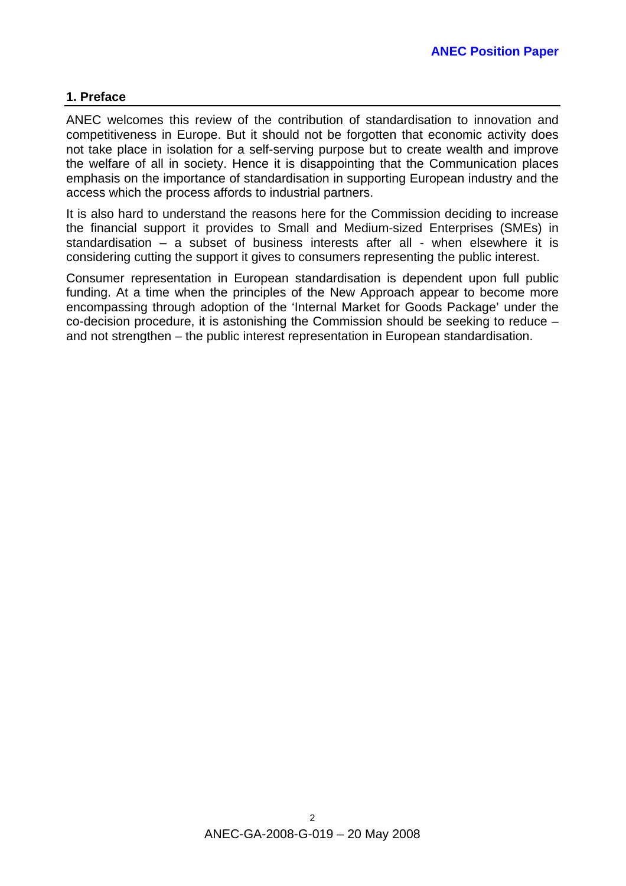#### **1. Preface**

ANEC welcomes this review of the contribution of standardisation to innovation and competitiveness in Europe. But it should not be forgotten that economic activity does not take place in isolation for a self-serving purpose but to create wealth and improve the welfare of all in society. Hence it is disappointing that the Communication places emphasis on the importance of standardisation in supporting European industry and the access which the process affords to industrial partners.

It is also hard to understand the reasons here for the Commission deciding to increase the financial support it provides to Small and Medium-sized Enterprises (SMEs) in standardisation – a subset of business interests after all - when elsewhere it is considering cutting the support it gives to consumers representing the public interest.

Consumer representation in European standardisation is dependent upon full public funding. At a time when the principles of the New Approach appear to become more encompassing through adoption of the 'Internal Market for Goods Package' under the co-decision procedure, it is astonishing the Commission should be seeking to reduce – and not strengthen – the public interest representation in European standardisation.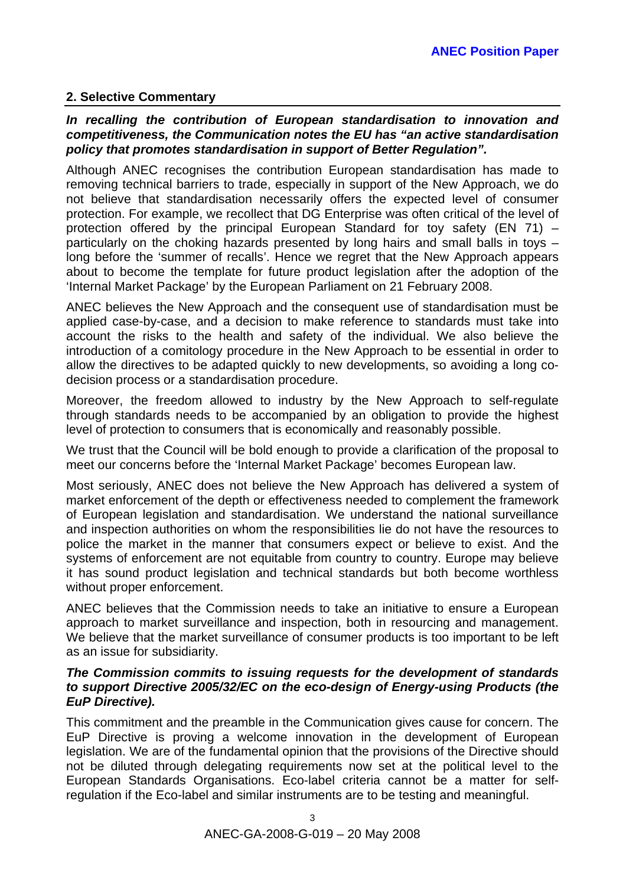#### **2. Selective Commentary**

#### *In recalling the contribution of European standardisation to innovation and competitiveness, the Communication notes the EU has "an active standardisation policy that promotes standardisation in support of Better Regulation".*

Although ANEC recognises the contribution European standardisation has made to removing technical barriers to trade, especially in support of the New Approach, we do not believe that standardisation necessarily offers the expected level of consumer protection. For example, we recollect that DG Enterprise was often critical of the level of protection offered by the principal European Standard for toy safety (EN 71) – particularly on the choking hazards presented by long hairs and small balls in toys – long before the 'summer of recalls'. Hence we regret that the New Approach appears about to become the template for future product legislation after the adoption of the 'Internal Market Package' by the European Parliament on 21 February 2008.

ANEC believes the New Approach and the consequent use of standardisation must be applied case-by-case, and a decision to make reference to standards must take into account the risks to the health and safety of the individual. We also believe the introduction of a comitology procedure in the New Approach to be essential in order to allow the directives to be adapted quickly to new developments, so avoiding a long codecision process or a standardisation procedure.

Moreover, the freedom allowed to industry by the New Approach to self-regulate through standards needs to be accompanied by an obligation to provide the highest level of protection to consumers that is economically and reasonably possible.

We trust that the Council will be bold enough to provide a clarification of the proposal to meet our concerns before the 'Internal Market Package' becomes European law.

Most seriously, ANEC does not believe the New Approach has delivered a system of market enforcement of the depth or effectiveness needed to complement the framework of European legislation and standardisation. We understand the national surveillance and inspection authorities on whom the responsibilities lie do not have the resources to police the market in the manner that consumers expect or believe to exist. And the systems of enforcement are not equitable from country to country. Europe may believe it has sound product legislation and technical standards but both become worthless without proper enforcement.

ANEC believes that the Commission needs to take an initiative to ensure a European approach to market surveillance and inspection, both in resourcing and management. We believe that the market surveillance of consumer products is too important to be left as an issue for subsidiarity.

#### *The Commission commits to issuing requests for the development of standards to support Directive 2005/32/EC on the eco-design of Energy-using Products (the EuP Directive).*

This commitment and the preamble in the Communication gives cause for concern. The EuP Directive is proving a welcome innovation in the development of European legislation. We are of the fundamental opinion that the provisions of the Directive should not be diluted through delegating requirements now set at the political level to the European Standards Organisations. Eco-label criteria cannot be a matter for selfregulation if the Eco-label and similar instruments are to be testing and meaningful.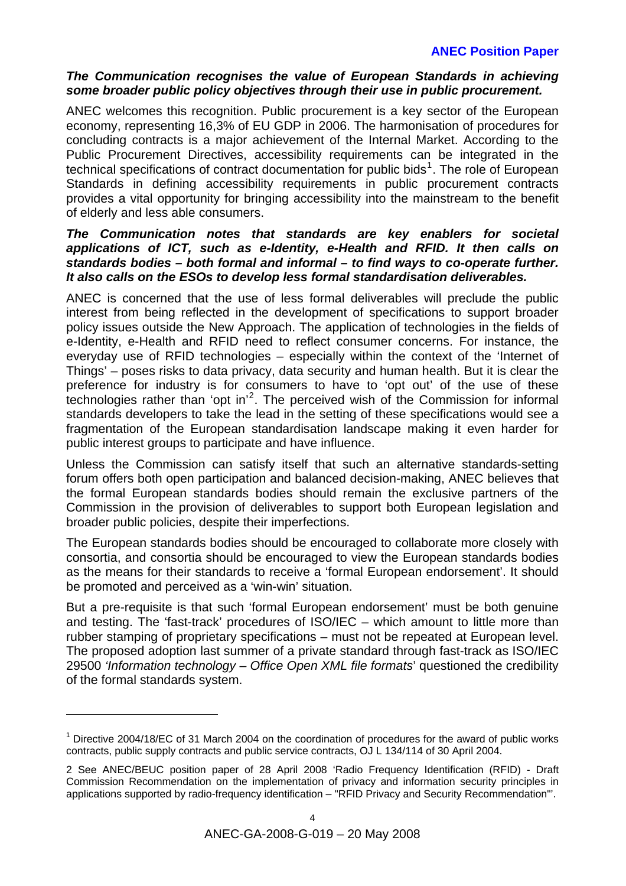#### **ANEC Position Paper**

#### *The Communication recognises the value of European Standards in achieving some broader public policy objectives through their use in public procurement.*

ANEC welcomes this recognition. Public procurement is a key sector of the European economy, representing 16,3% of EU GDP in 2006. The harmonisation of procedures for concluding contracts is a major achievement of the Internal Market. According to the Public Procurement Directives, accessibility requirements can be integrated in the technical specifications of contract documentation for public bids<sup>[1](#page-4-0)</sup>. The role of European Standards in defining accessibility requirements in public procurement contracts provides a vital opportunity for bringing accessibility into the mainstream to the benefit of elderly and less able consumers.

#### *The Communication notes that standards are key enablers for societal applications of ICT, such as e-Identity, e-Health and RFID. It then calls on standards bodies – both formal and informal – to find ways to co-operate further. It also calls on the ESOs to develop less formal standardisation deliverables.*

ANEC is concerned that the use of less formal deliverables will preclude the public interest from being reflected in the development of specifications to support broader policy issues outside the New Approach. The application of technologies in the fields of e-Identity, e-Health and RFID need to reflect consumer concerns. For instance, the everyday use of RFID technologies – especially within the context of the 'Internet of Things' – poses risks to data privacy, data security and human health. But it is clear the preference for industry is for consumers to have to 'opt out' of the use of these technologies rather than 'opt in'[2](#page-4-1) . The perceived wish of the Commission for informal standards developers to take the lead in the setting of these specifications would see a fragmentation of the European standardisation landscape making it even harder for public interest groups to participate and have influence.

Unless the Commission can satisfy itself that such an alternative standards-setting forum offers both open participation and balanced decision-making, ANEC believes that the formal European standards bodies should remain the exclusive partners of the Commission in the provision of deliverables to support both European legislation and broader public policies, despite their imperfections.

The European standards bodies should be encouraged to collaborate more closely with consortia, and consortia should be encouraged to view the European standards bodies as the means for their standards to receive a 'formal European endorsement'. It should be promoted and perceived as a 'win-win' situation.

But a pre-requisite is that such 'formal European endorsement' must be both genuine and testing. The 'fast-track' procedures of ISO/IEC – which amount to little more than rubber stamping of proprietary specifications – must not be repeated at European level. The proposed adoption last summer of a private standard through fast-track as ISO/IEC 29500 *'Information technology – Office Open XML file formats*' questioned the credibility of the formal standards system.

l

<span id="page-4-0"></span> $1$  Directive 2004/18/EC of 31 March 2004 on the coordination of procedures for the award of public works contracts, public supply contracts and public service contracts, OJ L 134/114 of 30 April 2004.

<span id="page-4-1"></span><sup>2</sup> See ANEC/BEUC position paper of 28 April 2008 'Radio Frequency Identification (RFID) - Draft Commission Recommendation on the implementation of privacy and information security principles in applications supported by radio-frequency identification – "RFID Privacy and Security Recommendation"'.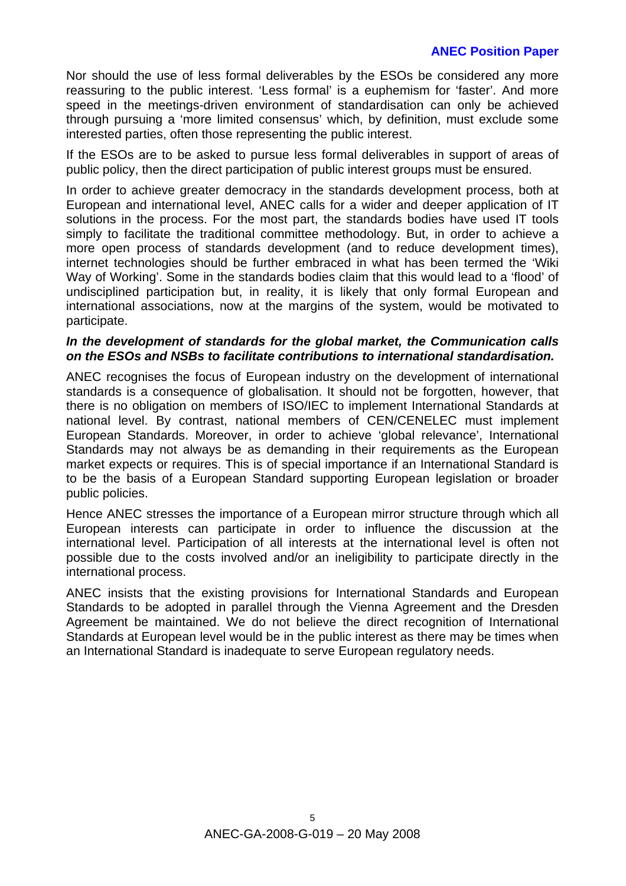#### **ANEC Position Paper**

Nor should the use of less formal deliverables by the ESOs be considered any more reassuring to the public interest. 'Less formal' is a euphemism for 'faster'. And more speed in the meetings-driven environment of standardisation can only be achieved through pursuing a 'more limited consensus' which, by definition, must exclude some interested parties, often those representing the public interest.

If the ESOs are to be asked to pursue less formal deliverables in support of areas of public policy, then the direct participation of public interest groups must be ensured.

In order to achieve greater democracy in the standards development process, both at European and international level, ANEC calls for a wider and deeper application of IT solutions in the process. For the most part, the standards bodies have used IT tools simply to facilitate the traditional committee methodology. But, in order to achieve a more open process of standards development (and to reduce development times), internet technologies should be further embraced in what has been termed the 'Wiki Way of Working'. Some in the standards bodies claim that this would lead to a 'flood' of undisciplined participation but, in reality, it is likely that only formal European and international associations, now at the margins of the system, would be motivated to participate.

#### *In the development of standards for the global market, the Communication calls on the ESOs and NSBs to facilitate contributions to international standardisation.*

ANEC recognises the focus of European industry on the development of international standards is a consequence of globalisation. It should not be forgotten, however, that there is no obligation on members of ISO/IEC to implement International Standards at national level. By contrast, national members of CEN/CENELEC must implement European Standards. Moreover, in order to achieve 'global relevance', International Standards may not always be as demanding in their requirements as the European market expects or requires. This is of special importance if an International Standard is to be the basis of a European Standard supporting European legislation or broader public policies.

Hence ANEC stresses the importance of a European mirror structure through which all European interests can participate in order to influence the discussion at the international level. Participation of all interests at the international level is often not possible due to the costs involved and/or an ineligibility to participate directly in the international process.

ANEC insists that the existing provisions for International Standards and European Standards to be adopted in parallel through the Vienna Agreement and the Dresden Agreement be maintained. We do not believe the direct recognition of International Standards at European level would be in the public interest as there may be times when an International Standard is inadequate to serve European regulatory needs.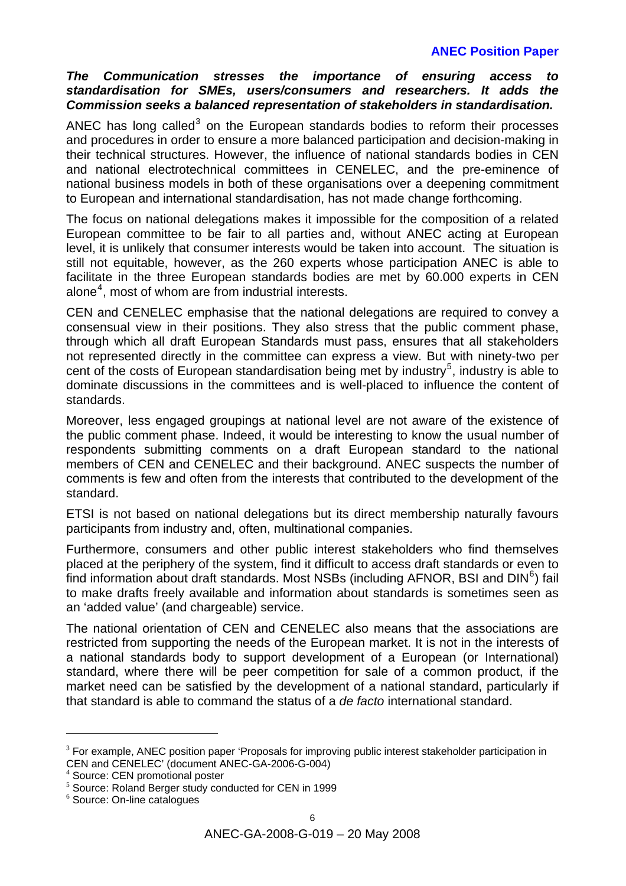#### *The Communication stresses the importance of ensuring access to standardisation for SMEs, users/consumers and researchers. It adds the Commission seeks a balanced representation of stakeholders in standardisation.*

ANEC has long called<sup>[3](#page-6-0)</sup> on the European standards bodies to reform their processes and procedures in order to ensure a more balanced participation and decision-making in their technical structures. However, the influence of national standards bodies in CEN and national electrotechnical committees in CENELEC, and the pre-eminence of national business models in both of these organisations over a deepening commitment to European and international standardisation, has not made change forthcoming.

The focus on national delegations makes it impossible for the composition of a related European committee to be fair to all parties and, without ANEC acting at European level, it is unlikely that consumer interests would be taken into account. The situation is still not equitable, however, as the 260 experts whose participation ANEC is able to facilitate in the three European standards bodies are met by 60.000 experts in CEN alone<sup>[4](#page-6-1)</sup>, most of whom are from industrial interests.

CEN and CENELEC emphasise that the national delegations are required to convey a consensual view in their positions. They also stress that the public comment phase, through which all draft European Standards must pass, ensures that all stakeholders not represented directly in the committee can express a view. But with ninety-two per cent of the costs of European standardisation being met by industry<sup>[5](#page-6-2)</sup>, industry is able to dominate discussions in the committees and is well-placed to influence the content of standards.

Moreover, less engaged groupings at national level are not aware of the existence of the public comment phase. Indeed, it would be interesting to know the usual number of respondents submitting comments on a draft European standard to the national members of CEN and CENELEC and their background. ANEC suspects the number of comments is few and often from the interests that contributed to the development of the standard.

ETSI is not based on national delegations but its direct membership naturally favours participants from industry and, often, multinational companies.

Furthermore, consumers and other public interest stakeholders who find themselves placed at the periphery of the system, find it difficult to access draft standards or even to find information about draft standards. Most NSBs (including AFNOR, BSI and DIN $<sup>6</sup>$  $<sup>6</sup>$  $<sup>6</sup>$ ) fail</sup> to make drafts freely available and information about standards is sometimes seen as an 'added value' (and chargeable) service.

The national orientation of CEN and CENELEC also means that the associations are restricted from supporting the needs of the European market. It is not in the interests of a national standards body to support development of a European (or International) standard, where there will be peer competition for sale of a common product, if the market need can be satisfied by the development of a national standard, particularly if that standard is able to command the status of a *de facto* international standard.

l

<span id="page-6-0"></span> $3$  For example, ANEC position paper 'Proposals for improving public interest stakeholder participation in CEN and CENELEC' (document ANEC-GA-2006-G-004)

<span id="page-6-1"></span>Source: CEN promotional poster

<span id="page-6-2"></span><sup>&</sup>lt;sup>5</sup> Source: Roland Berger study conducted for CEN in 1999

<span id="page-6-3"></span><sup>6</sup> Source: On-line catalogues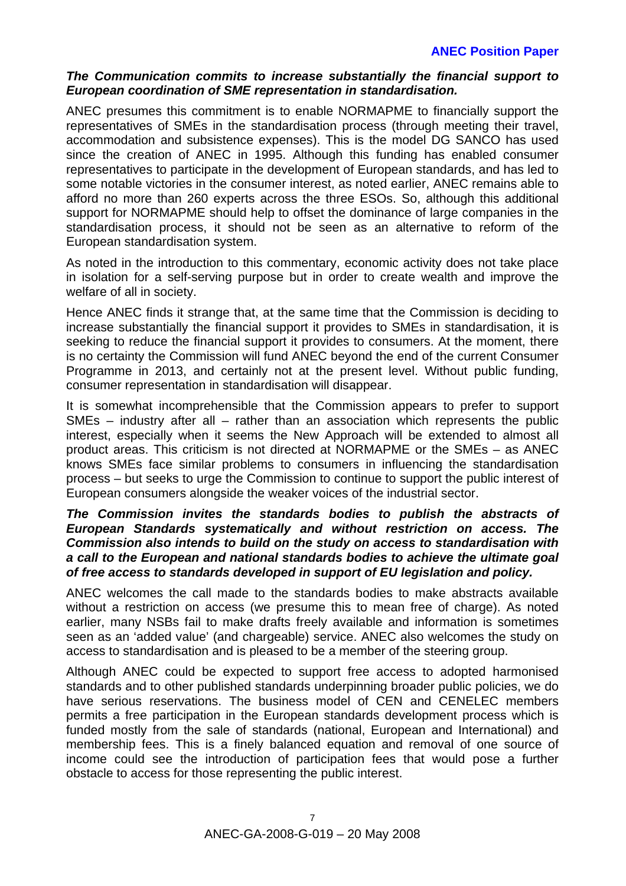#### *The Communication commits to increase substantially the financial support to European coordination of SME representation in standardisation.*

ANEC presumes this commitment is to enable NORMAPME to financially support the representatives of SMEs in the standardisation process (through meeting their travel, accommodation and subsistence expenses). This is the model DG SANCO has used since the creation of ANEC in 1995. Although this funding has enabled consumer representatives to participate in the development of European standards, and has led to some notable victories in the consumer interest, as noted earlier, ANEC remains able to afford no more than 260 experts across the three ESOs. So, although this additional support for NORMAPME should help to offset the dominance of large companies in the standardisation process, it should not be seen as an alternative to reform of the European standardisation system.

As noted in the introduction to this commentary, economic activity does not take place in isolation for a self-serving purpose but in order to create wealth and improve the welfare of all in society.

Hence ANEC finds it strange that, at the same time that the Commission is deciding to increase substantially the financial support it provides to SMEs in standardisation, it is seeking to reduce the financial support it provides to consumers. At the moment, there is no certainty the Commission will fund ANEC beyond the end of the current Consumer Programme in 2013, and certainly not at the present level. Without public funding, consumer representation in standardisation will disappear.

It is somewhat incomprehensible that the Commission appears to prefer to support SMEs – industry after all – rather than an association which represents the public interest, especially when it seems the New Approach will be extended to almost all product areas. This criticism is not directed at NORMAPME or the SMEs – as ANEC knows SMEs face similar problems to consumers in influencing the standardisation process – but seeks to urge the Commission to continue to support the public interest of European consumers alongside the weaker voices of the industrial sector.

#### *The Commission invites the standards bodies to publish the abstracts of European Standards systematically and without restriction on access. The Commission also intends to build on the study on access to standardisation with a call to the European and national standards bodies to achieve the ultimate goal of free access to standards developed in support of EU legislation and policy.*

ANEC welcomes the call made to the standards bodies to make abstracts available without a restriction on access (we presume this to mean free of charge). As noted earlier, many NSBs fail to make drafts freely available and information is sometimes seen as an 'added value' (and chargeable) service. ANEC also welcomes the study on access to standardisation and is pleased to be a member of the steering group.

Although ANEC could be expected to support free access to adopted harmonised standards and to other published standards underpinning broader public policies, we do have serious reservations. The business model of CEN and CENELEC members permits a free participation in the European standards development process which is funded mostly from the sale of standards (national, European and International) and membership fees. This is a finely balanced equation and removal of one source of income could see the introduction of participation fees that would pose a further obstacle to access for those representing the public interest.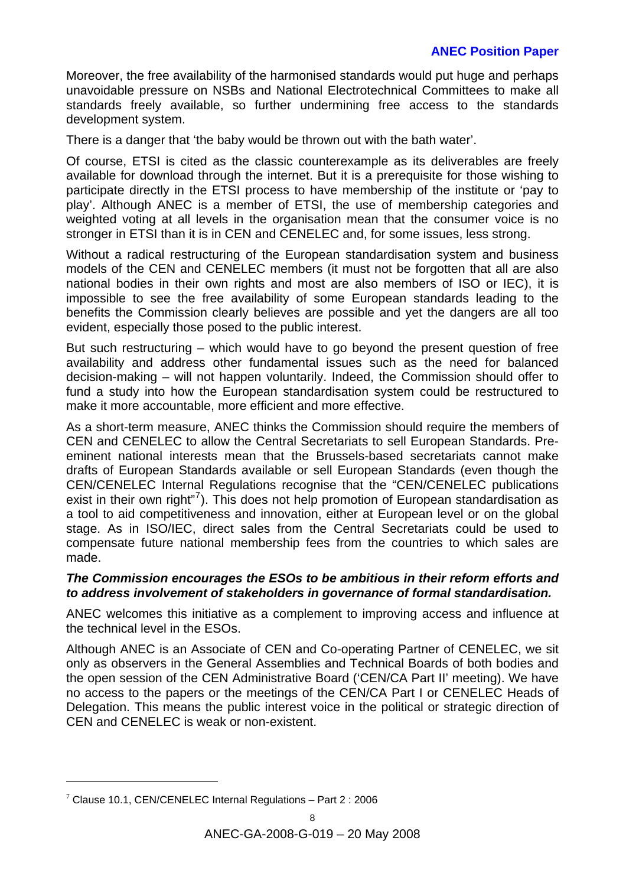Moreover, the free availability of the harmonised standards would put huge and perhaps unavoidable pressure on NSBs and National Electrotechnical Committees to make all standards freely available, so further undermining free access to the standards development system.

There is a danger that 'the baby would be thrown out with the bath water'.

Of course, ETSI is cited as the classic counterexample as its deliverables are freely available for download through the internet. But it is a prerequisite for those wishing to participate directly in the ETSI process to have membership of the institute or 'pay to play'. Although ANEC is a member of ETSI, the use of membership categories and weighted voting at all levels in the organisation mean that the consumer voice is no stronger in ETSI than it is in CEN and CENELEC and, for some issues, less strong.

Without a radical restructuring of the European standardisation system and business models of the CEN and CENELEC members (it must not be forgotten that all are also national bodies in their own rights and most are also members of ISO or IEC), it is impossible to see the free availability of some European standards leading to the benefits the Commission clearly believes are possible and yet the dangers are all too evident, especially those posed to the public interest.

But such restructuring – which would have to go beyond the present question of free availability and address other fundamental issues such as the need for balanced decision-making – will not happen voluntarily. Indeed, the Commission should offer to fund a study into how the European standardisation system could be restructured to make it more accountable, more efficient and more effective.

As a short-term measure, ANEC thinks the Commission should require the members of CEN and CENELEC to allow the Central Secretariats to sell European Standards. Preeminent national interests mean that the Brussels-based secretariats cannot make drafts of European Standards available or sell European Standards (even though the CEN/CENELEC Internal Regulations recognise that the "CEN/CENELEC publications exist in their own right"<sup>[7](#page-8-0)</sup>). This does not help promotion of European standardisation as a tool to aid competitiveness and innovation, either at European level or on the global stage. As in ISO/IEC, direct sales from the Central Secretariats could be used to compensate future national membership fees from the countries to which sales are made.

#### *The Commission encourages the ESOs to be ambitious in their reform efforts and to address involvement of stakeholders in governance of formal standardisation.*

ANEC welcomes this initiative as a complement to improving access and influence at the technical level in the ESOs.

Although ANEC is an Associate of CEN and Co-operating Partner of CENELEC, we sit only as observers in the General Assemblies and Technical Boards of both bodies and the open session of the CEN Administrative Board ('CEN/CA Part II' meeting). We have no access to the papers or the meetings of the CEN/CA Part I or CENELEC Heads of Delegation. This means the public interest voice in the political or strategic direction of CEN and CENELEC is weak or non-existent.

l

<span id="page-8-0"></span> $7$  Clause 10.1, CEN/CENELEC Internal Regulations – Part 2 : 2006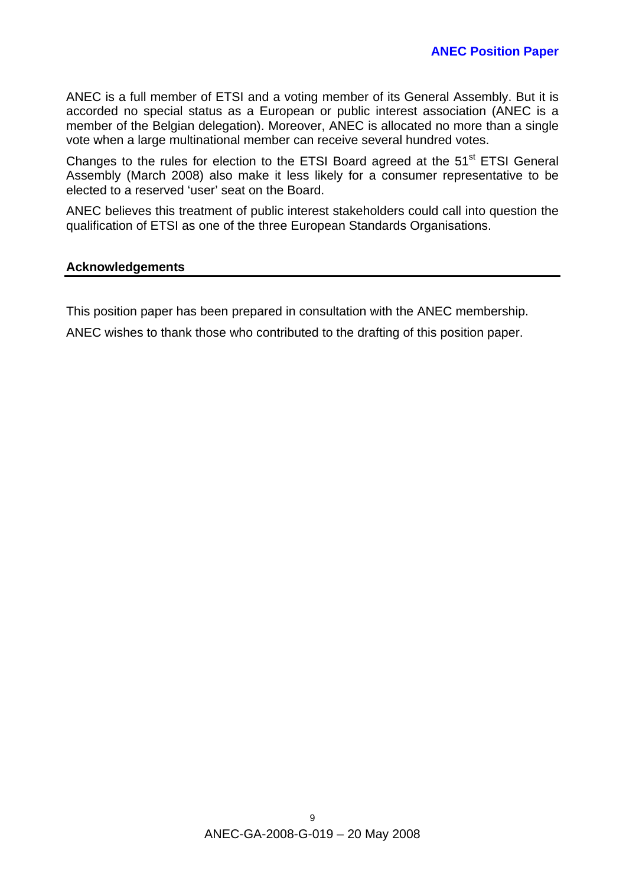ANEC is a full member of ETSI and a voting member of its General Assembly. But it is accorded no special status as a European or public interest association (ANEC is a member of the Belgian delegation). Moreover, ANEC is allocated no more than a single vote when a large multinational member can receive several hundred votes.

Changes to the rules for election to the ETSI Board agreed at the  $51<sup>st</sup>$  ETSI General Assembly (March 2008) also make it less likely for a consumer representative to be elected to a reserved 'user' seat on the Board.

ANEC believes this treatment of public interest stakeholders could call into question the qualification of ETSI as one of the three European Standards Organisations.

#### **Acknowledgements**

This position paper has been prepared in consultation with the ANEC membership.

ANEC wishes to thank those who contributed to the drafting of this position paper.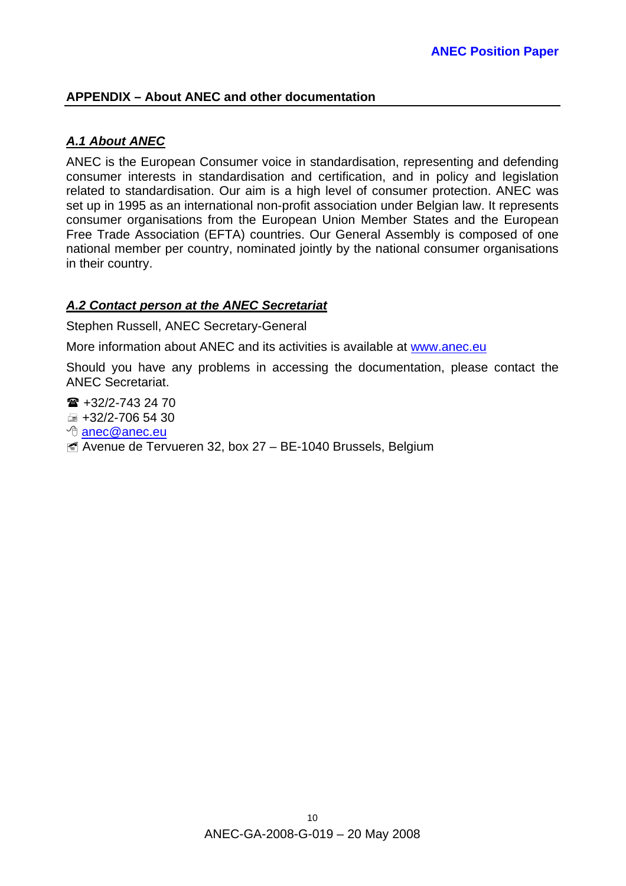#### **APPENDIX – About ANEC and other documentation**

#### *A.1 About ANEC*

ANEC is the European Consumer voice in standardisation, representing and defending consumer interests in standardisation and certification, and in policy and legislation related to standardisation. Our aim is a high level of consumer protection. ANEC was set up in 1995 as an international non-profit association under Belgian law. It represents consumer organisations from the European Union Member States and the European Free Trade Association (EFTA) countries. Our General Assembly is composed of one national member per country, nominated jointly by the national consumer organisations in their country.

#### *A.2 Contact person at the ANEC Secretariat*

Stephen Russell, ANEC Secretary-General

More information about ANEC and its activities is available at [www.anec.eu](http://www.anec.eu/)

Should you have any problems in accessing the documentation, please contact the ANEC Secretariat.

 $\hat{=}$  +32/2-743 24 70  $\equiv$  +32/2-706 54 30

- *<sup>th</sup>* [anec@anec.eu](mailto:anec@anec.eu)
- Avenue de Tervueren 32, box 27 BE-1040 Brussels, Belgium